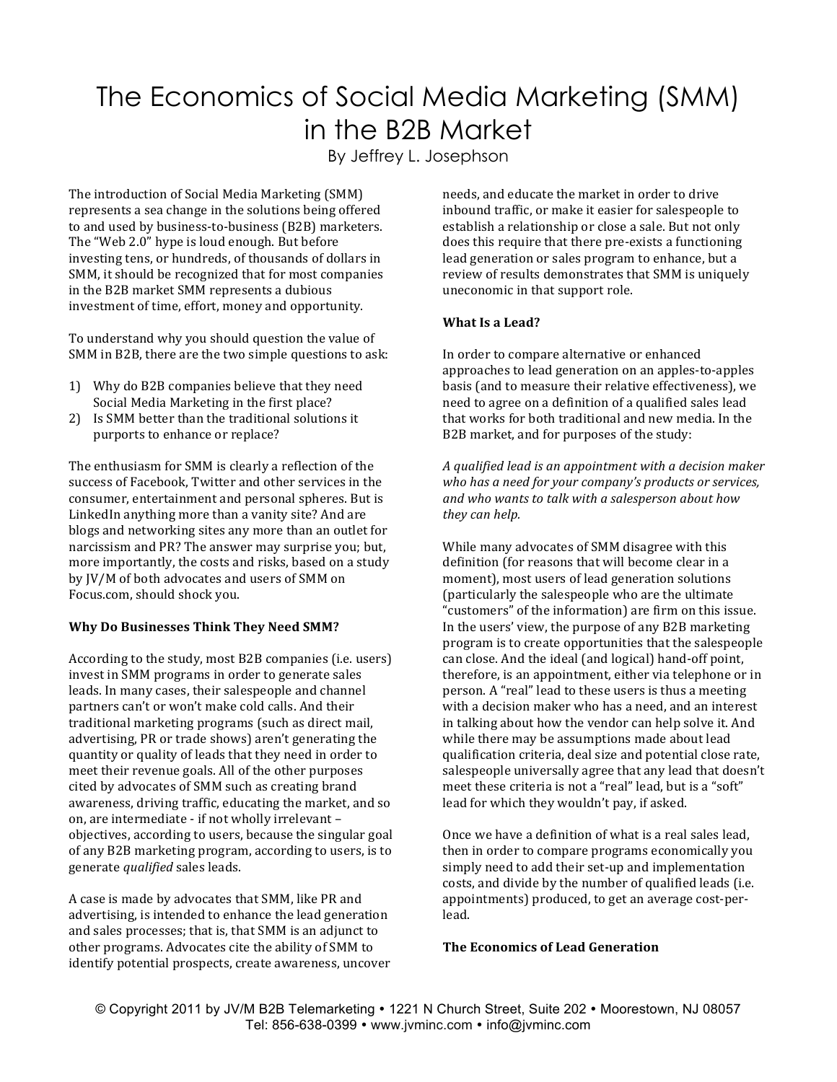# The Economics of Social Media Marketing (SMM) in the B2B Market

By Jeffrey L. Josephson

The introduction of Social Media Marketing (SMM) represents a sea change in the solutions being offered to and used by business-to-business (B2B) marketers. The "Web 2.0" hype is loud enough. But before investing tens, or hundreds, of thousands of dollars in SMM, it should be recognized that for most companies in the B2B market SMM represents a dubious investment of time, effort, money and opportunity.

To understand why you should question the value of SMM in B2B, there are the two simple questions to ask:

- 1) Why do B2B companies believe that they need Social Media Marketing in the first place?
- 2) Is SMM better than the traditional solutions it purports to enhance or replace?

The enthusiasm for SMM is clearly a reflection of the success of Facebook, Twitter and other services in the consumer, entertainment and personal spheres. But is LinkedIn anything more than a vanity site? And are blogs and networking sites any more than an outlet for narcissism and PR? The answer may surprise you; but, more importantly, the costs and risks, based on a study by JV/M of both advocates and users of SMM on Focus.com, should shock you.

## **Why Do Businesses Think They Need SMM?**

According to the study, most B2B companies (i.e. users) invest in SMM programs in order to generate sales leads. In many cases, their salespeople and channel partners can't or won't make cold calls. And their traditional marketing programs (such as direct mail, advertising, PR or trade shows) aren't generating the quantity or quality of leads that they need in order to meet their revenue goals. All of the other purposes cited by advocates of SMM such as creating brand awareness, driving traffic, educating the market, and so on, are intermediate - if not wholly irrelevant objectives, according to users, because the singular goal of any B2B marketing program, according to users, is to generate *qualified* sales leads.

A case is made by advocates that SMM, like PR and advertising, is intended to enhance the lead generation and sales processes; that is, that SMM is an adjunct to other programs. Advocates cite the ability of SMM to identify potential prospects, create awareness, uncover needs, and educate the market in order to drive inbound traffic, or make it easier for salespeople to establish a relationship or close a sale. But not only does this require that there pre-exists a functioning lead generation or sales program to enhance, but a review of results demonstrates that SMM is uniquely uneconomic in that support role.

### **What Is a Lead?**

In order to compare alternative or enhanced approaches to lead generation on an apples-to-apples basis (and to measure their relative effectiveness), we need to agree on a definition of a qualified sales lead that works for both traditional and new media. In the B2B market, and for purposes of the study:

*A qualified lead is an appointment with a decision maker*  who has a need for your company's products or services, and who wants to talk with a salesperson about how *they can help.*

While many advocates of SMM disagree with this definition (for reasons that will become clear in a moment), most users of lead generation solutions (particularly the salespeople who are the ultimate "customers" of the information) are firm on this issue. In the users' view, the purpose of any B2B marketing program is to create opportunities that the salespeople can close. And the ideal (and logical) hand-off point, therefore, is an appointment, either via telephone or in person. A "real" lead to these users is thus a meeting with a decision maker who has a need, and an interest in talking about how the vendor can help solve it. And while there may be assumptions made about lead qualification criteria, deal size and potential close rate, salespeople universally agree that any lead that doesn't meet these criteria is not a "real" lead, but is a "soft" lead for which they wouldn't pay, if asked.

Once we have a definition of what is a real sales lead, then in order to compare programs economically you simply need to add their set-up and implementation costs, and divide by the number of qualified leads (i.e. appointments) produced, to get an average cost-perlead. 

#### **The Economics of Lead Generation**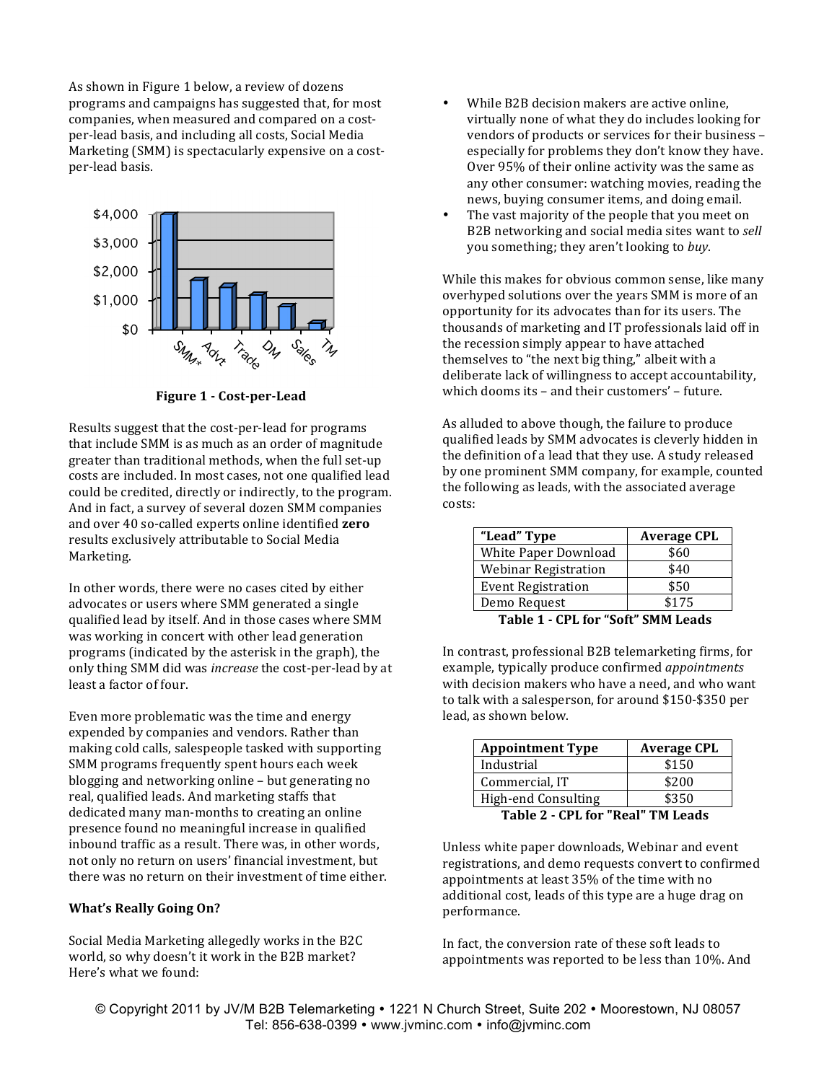As shown in Figure 1 below, a review of dozens programs and campaigns has suggested that, for most companies, when measured and compared on a costper-lead basis, and including all costs, Social Media Marketing (SMM) is spectacularly expensive on a costper-lead basis.



**Figure 1 - Cost-per-Lead** 

Results suggest that the cost-per-lead for programs that include SMM is as much as an order of magnitude greater than traditional methods, when the full set-up costs are included. In most cases, not one qualified lead could be credited, directly or indirectly, to the program. And in fact, a survey of several dozen SMM companies and over 40 so-called experts online identified **zero** results exclusively attributable to Social Media Marketing.

In other words, there were no cases cited by either advocates or users where SMM generated a single qualified lead by itself. And in those cases where SMM was working in concert with other lead generation programs (indicated by the asterisk in the graph), the only thing SMM did was *increase* the cost-per-lead by at least a factor of four.

Even more problematic was the time and energy expended by companies and vendors. Rather than making cold calls, salespeople tasked with supporting SMM programs frequently spent hours each week blogging and networking online  $-$  but generating no real, qualified leads. And marketing staffs that dedicated many man-months to creating an online presence found no meaningful increase in qualified inbound traffic as a result. There was, in other words, not only no return on users' financial investment, but there was no return on their investment of time either.

#### **What's Really Going On?**

Social Media Marketing allegedly works in the B2C world, so why doesn't it work in the B2B market? Here's what we found:

- While B2B decision makers are active online, virtually none of what they do includes looking for vendors of products or services for their business especially for problems they don't know they have. Over 95% of their online activity was the same as any other consumer: watching movies, reading the news, buying consumer items, and doing email.
- The vast majority of the people that you meet on B2B networking and social media sites want to *sell* you something; they aren't looking to *buy*.

While this makes for obvious common sense, like many overhyped solutions over the years SMM is more of an opportunity for its advocates than for its users. The thousands of marketing and IT professionals laid off in the recession simply appear to have attached themselves to "the next big thing," albeit with a deliberate lack of willingness to accept accountability, which dooms its  $-$  and their customers'  $-$  future.

As alluded to above though, the failure to produce qualified leads by SMM advocates is cleverly hidden in the definition of a lead that they use. A study released by one prominent SMM company, for example, counted the following as leads, with the associated average costs:

| \$60  |
|-------|
|       |
| \$40  |
| \$50  |
| \$175 |
|       |

**Table 1 - CPL for "Soft" SMM Leads** 

In contrast, professional B2B telemarketing firms, for example, typically produce confirmed *appointments* with decision makers who have a need, and who want to talk with a salesperson, for around \$150-\$350 per lead, as shown below.

| <b>Appointment Type</b>           | <b>Average CPL</b> |
|-----------------------------------|--------------------|
| Industrial                        | \$150              |
| Commercial, IT                    | \$200              |
| <b>High-end Consulting</b>        | \$350              |
| Table 2 - CPL for "Real" TM Leads |                    |

Unless white paper downloads, Webinar and event registrations, and demo requests convert to confirmed appointments at least 35% of the time with no additional cost, leads of this type are a huge drag on performance. 

In fact, the conversion rate of these soft leads to appointments was reported to be less than 10%. And